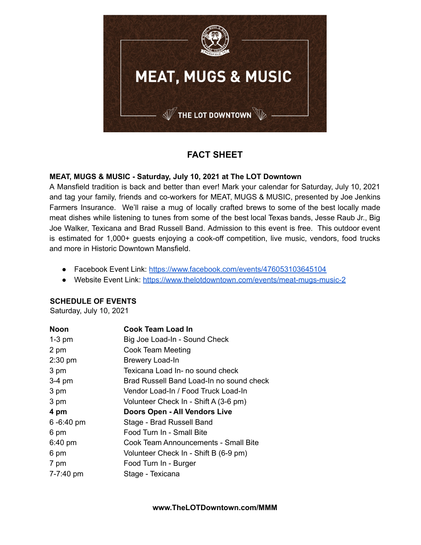

# **FACT SHEET**

# **MEAT, MUGS & MUSIC - Saturday, July 10, 2021 at The LOT Downtown**

A Mansfield tradition is back and better than ever! Mark your calendar for Saturday, July 10, 2021 and tag your family, friends and co-workers for MEAT, MUGS & MUSIC, presented by Joe Jenkins Farmers Insurance. We'll raise a mug of locally crafted brews to some of the best locally made meat dishes while listening to tunes from some of the best local Texas bands, Jesse Raub Jr., Big Joe Walker, Texicana and Brad Russell Band. Admission to this event is free. This outdoor event is estimated for 1,000+ guests enjoying a cook-off competition, live music, vendors, food trucks and more in Historic Downtown Mansfield.

- Facebook Event Link: <https://www.facebook.com/events/476053103645104>
- Website Event Link: <https://www.thelotdowntown.com/events/meat-mugs-music-2>

# **SCHEDULE OF EVENTS**

Saturday, July 10, 2021

| Noon          | Cook Team Load In                        |
|---------------|------------------------------------------|
| $1-3$ pm      | Big Joe Load-In - Sound Check            |
| 2 pm          | Cook Team Meeting                        |
| $2:30$ pm     | <b>Brewery Load-In</b>                   |
| 3 pm          | Texicana Load In- no sound check         |
| $3-4$ pm      | Brad Russell Band Load-In no sound check |
| 3 pm          | Vendor Load-In / Food Truck Load-In      |
| 3 pm          | Volunteer Check In - Shift A (3-6 pm)    |
| 4 pm          | Doors Open - All Vendors Live            |
| $6 - 6:40$ pm | Stage - Brad Russell Band                |
| 6 pm          | Food Turn In - Small Bite                |
| $6:40$ pm     | Cook Team Announcements - Small Bite     |
| 6 pm          | Volunteer Check In - Shift B (6-9 pm)    |
| 7 pm          | Food Turn In - Burger                    |
| 7-7:40 pm     | Stage - Texicana                         |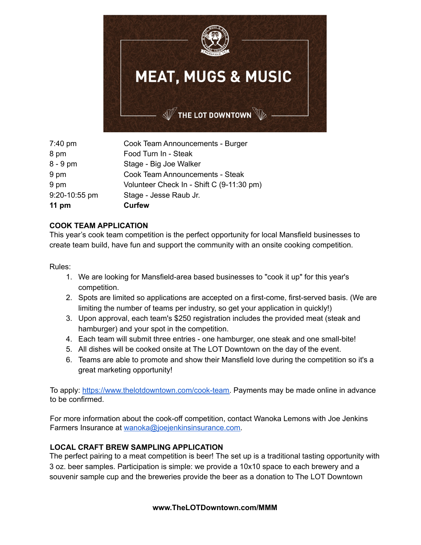

| 7:40 pm       | Cook Team Announcements - Burger          |
|---------------|-------------------------------------------|
| 8 pm          | Food Turn In - Steak                      |
| $8 - 9$ pm    | Stage - Big Joe Walker                    |
| 9 pm          | <b>Cook Team Announcements - Steak</b>    |
| 9 pm          | Volunteer Check In - Shift C (9-11:30 pm) |
| 9:20-10:55 pm | Stage - Jesse Raub Jr.                    |
| 11 pm         | <b>Curfew</b>                             |

#### **COOK TEAM APPLICATION**

This year's cook team competition is the perfect opportunity for local Mansfield businesses to create team build, have fun and support the community with an onsite cooking competition.

Rules:

- 1. We are looking for Mansfield-area based businesses to "cook it up" for this year's competition.
- 2. Spots are limited so applications are accepted on a first-come, first-served basis. (We are limiting the number of teams per industry, so get your application in quickly!)
- 3. Upon approval, each team's \$250 registration includes the provided meat (steak and hamburger) and your spot in the competition.
- 4. Each team will submit three entries one hamburger, one steak and one small-bite!
- 5. All dishes will be cooked onsite at The LOT Downtown on the day of the event.
- 6. Teams are able to promote and show their Mansfield love during the competition so it's a great marketing opportunity!

To apply: [https://www.thelotdowntown.com/cook-team.](https://www.thelotdowntown.com/cook-team) Payments may be made online in advance to be confirmed.

For more information about the cook-off competition, contact Wanoka Lemons with Joe Jenkins Farmers Insurance at [wanoka@joejenkinsinsurance.com.](mailto:wanoka@joejenkinsinsurance.com)

# **LOCAL CRAFT BREW SAMPLING APPLICATION**

The perfect pairing to a meat competition is beer! The set up is a traditional tasting opportunity with 3 oz. beer samples. Participation is simple: we provide a 10x10 space to each brewery and a souvenir sample cup and the breweries provide the beer as a donation to The LOT Downtown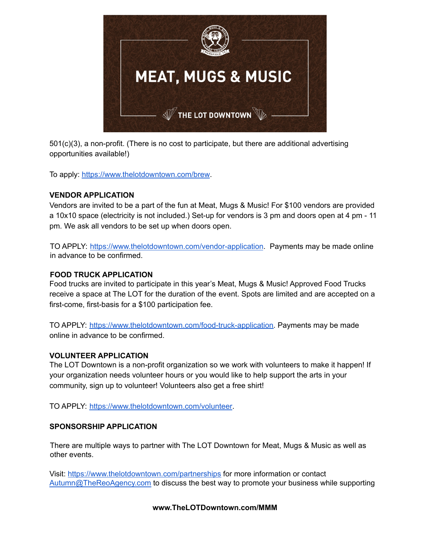

501(c)(3), a non-profit. (There is no cost to participate, but there are additional advertising opportunities available!)

To apply: <https://www.thelotdowntown.com/brew>.

#### **VENDOR APPLICATION**

Vendors are invited to be a part of the fun at Meat, Mugs & Music! For \$100 vendors are provided a 10x10 space (electricity is not included.) Set-up for vendors is 3 pm and doors open at 4 pm - 11 pm. We ask all vendors to be set up when doors open.

TO APPLY: <https://www.thelotdowntown.com/vendor-application>. Payments may be made online in advance to be confirmed.

#### **FOOD TRUCK APPLICATION**

Food trucks are invited to participate in this year's Meat, Mugs & Music! Approved Food Trucks receive a space at The LOT for the duration of the event. Spots are limited and are accepted on a first-come, first-basis for a \$100 participation fee.

TO APPLY: [https://www.thelotdowntown.com/food-truck-application.](https://www.thelotdowntown.com/food-truck-application) Payments may be made online in advance to be confirmed.

# **VOLUNTEER APPLICATION**

The LOT Downtown is a non-profit organization so we work with volunteers to make it happen! If your organization needs volunteer hours or you would like to help support the arts in your community, sign up to volunteer! Volunteers also get a free shirt!

TO APPLY: [https://www.thelotdowntown.com/volunteer.](https://www.thelotdowntown.com/volunteer)

#### **SPONSORSHIP APPLICATION**

There are multiple ways to partner with The LOT Downtown for Meat, Mugs & Music as well as other events.

Visit: <https://www.thelotdowntown.com/partnerships> for more information or contact [Autumn@TheReoAgency.com](mailto:Autumn@TheReoAgency.com) to discuss the best way to promote your business while supporting